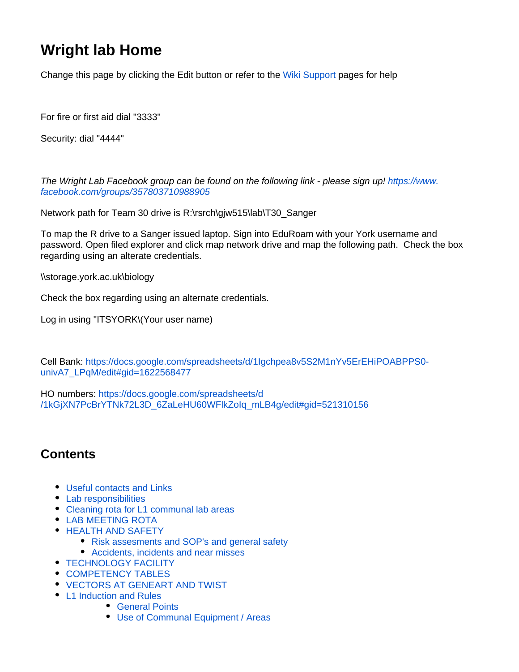# **Wright lab Home**

Change this page by clicking the Edit button or refer to the [Wiki Support](https://wiki.york.ac.uk/display/support/Wiki+Support) pages for help

For fire or first aid dial "3333"

Security: dial "4444"

The Wright Lab Facebook group can be found on the following link - please sign up! [https://www.](https://www.facebook.com/groups/357803710988905) [facebook.com/groups/357803710988905](https://www.facebook.com/groups/357803710988905)

Network path for Team 30 drive is R:\rsrch\gjw515\lab\T30\_Sanger

To map the R drive to a Sanger issued laptop. Sign into EduRoam with your York username and password. Open filed explorer and click map network drive and map the following path. Check the box regarding using an alterate credentials.

\\storage.york.ac.uk\biology

Check the box regarding using an alternate credentials.

Log in using "ITSYORK\(Your user name)

Cell Bank: [https://docs.google.com/spreadsheets/d/1Igchpea8v5S2M1nYv5ErEHiPOABPPS0](https://docs.google.com/spreadsheets/d/1Igchpea8v5S2M1nYv5ErEHiPOABPPS0-univA7_LPqM/edit#gid=1622568477) [univA7\\_LPqM/edit#gid=1622568477](https://docs.google.com/spreadsheets/d/1Igchpea8v5S2M1nYv5ErEHiPOABPPS0-univA7_LPqM/edit#gid=1622568477)

HO numbers: [https://docs.google.com/spreadsheets/d](https://docs.google.com/spreadsheets/d/1kGjXN7PcBrYTNk72L3D_6ZaLeHU60WFlkZoIq_mLB4g/edit#gid=521310156) [/1kGjXN7PcBrYTNk72L3D\\_6ZaLeHU60WFlkZoIq\\_mLB4g/edit#gid=521310156](https://docs.google.com/spreadsheets/d/1kGjXN7PcBrYTNk72L3D_6ZaLeHU60WFlkZoIq_mLB4g/edit#gid=521310156)

# **Contents**

- [Useful contacts and Links](#page-1-0)
- [Lab responsibilities](#page-1-1)
- [Cleaning rota for L1 communal lab areas](#page-2-0)
- [LAB MEETING ROTA](#page-3-0)
- [HEALTH AND SAFETY](#page-4-0)
	- [Risk assesments and SOP's and general safety](#page-4-1)
	- [Accidents, incidents and near misses](#page-5-0)
- **[TECHNOLOGY FACILITY](#page-5-1)**
- [COMPETENCY TABLES](#page-6-0)
- [VECTORS AT GENEART AND TWIST](#page-8-0)
- [L1 Induction and Rules](#page-9-0)
	- [General Points](#page-9-1)
	- [Use of Communal Equipment / Areas](#page-9-2)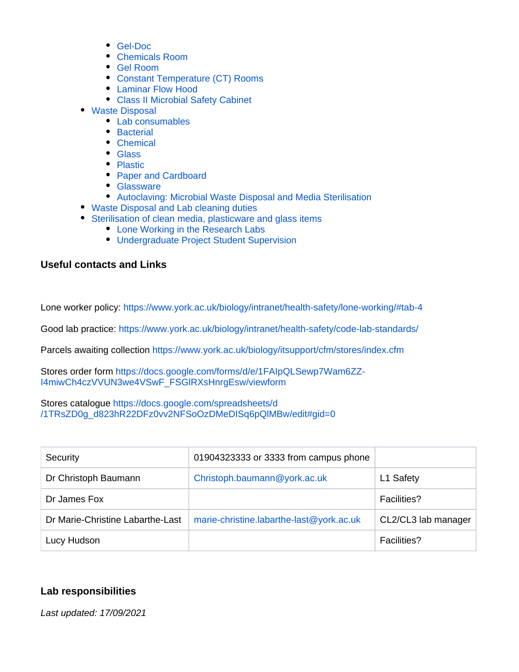- [Gel-Doc](#page-10-0)
- [Chemicals Room](#page-11-0)
- [Gel Room](#page-11-1)
- [Constant Temperature \(CT\) Rooms](#page-11-2)
- [Laminar Flow Hood](#page-12-0)
- [Class II Microbial Safety Cabinet](#page-12-1)
- [Waste Disposal](#page-12-2)
	- [Lab consumables](#page-12-3)
	- [Bacterial](#page-14-0)
	- [Chemical](#page-14-1)
	- [Glass](#page-14-2)
	- [Plastic](#page-15-0)
	- [Paper and Cardboard](#page-15-1)
	- [Glassware](#page-15-2)
	- [Autoclaving: Microbial Waste Disposal and Media Sterilisation](#page-15-3)
- [Waste Disposal and Lab cleaning duties](#page-16-0)
- [Sterilisation of clean media, plasticware and glass items](#page-16-1)
	- [Lone Working in the Research Labs](#page-16-2)
	- [Undergraduate Project Student Supervision](#page-17-0)

# <span id="page-1-0"></span>**Useful contacts and Links**

Lone worker policy: <https://www.york.ac.uk/biology/intranet/health-safety/lone-working/#tab-4>

Good lab practice:<https://www.york.ac.uk/biology/intranet/health-safety/code-lab-standards/>

Parcels awaiting collection <https://www.york.ac.uk/biology/itsupport/cfm/stores/index.cfm>

Stores order form [https://docs.google.com/forms/d/e/1FAIpQLSewp7Wam6ZZ-](https://docs.google.com/forms/d/e/1FAIpQLSewp7Wam6ZZ-I4miwCh4czVVUN3we4VSwF_FSGlRXsHnrgEsw/viewform)[I4miwCh4czVVUN3we4VSwF\\_FSGlRXsHnrgEsw/viewform](https://docs.google.com/forms/d/e/1FAIpQLSewp7Wam6ZZ-I4miwCh4czVVUN3we4VSwF_FSGlRXsHnrgEsw/viewform)

Stores catalogue [https://docs.google.com/spreadsheets/d](https://docs.google.com/spreadsheets/d/1TRsZD0g_d823hR22DFz0vv2NFSoOzDMeDISq6pQlMBw/edit#gid=0) [/1TRsZD0g\\_d823hR22DFz0vv2NFSoOzDMeDISq6pQlMBw/edit#gid=0](https://docs.google.com/spreadsheets/d/1TRsZD0g_d823hR22DFz0vv2NFSoOzDMeDISq6pQlMBw/edit#gid=0)

| Security                         | 01904323333 or 3333 from campus phone    |                     |
|----------------------------------|------------------------------------------|---------------------|
| Dr Christoph Baumann             | Christoph.baumann@york.ac.uk             | L1 Safety           |
| Dr James Fox                     |                                          | <b>Facilities?</b>  |
| Dr Marie-Christine Labarthe-Last | marie-christine.labarthe-last@york.ac.uk | CL2/CL3 lab manager |
| Lucy Hudson                      |                                          | <b>Facilities?</b>  |

# <span id="page-1-1"></span>**Lab responsibilities**

Last updated: 17/09/2021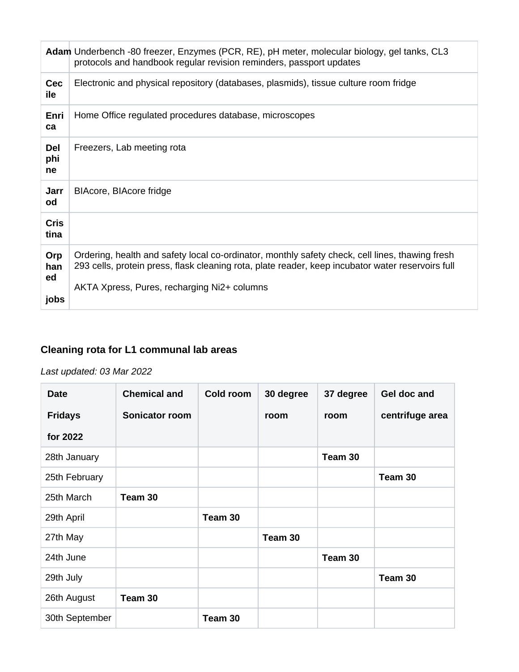|                          | Adam Underbench -80 freezer, Enzymes (PCR, RE), pH meter, molecular biology, gel tanks, CL3<br>protocols and handbook regular revision reminders, passport updates                                                                                  |
|--------------------------|-----------------------------------------------------------------------------------------------------------------------------------------------------------------------------------------------------------------------------------------------------|
| <b>Cec</b><br>ile        | Electronic and physical repository (databases, plasmids), tissue culture room fridge                                                                                                                                                                |
| Enri<br>ca               | Home Office regulated procedures database, microscopes                                                                                                                                                                                              |
| Del<br>phi<br>ne         | Freezers, Lab meeting rota                                                                                                                                                                                                                          |
| Jarr<br>od               | BIAcore, BIAcore fridge                                                                                                                                                                                                                             |
| <b>Cris</b><br>tina      |                                                                                                                                                                                                                                                     |
| Orp<br>han<br>ed<br>jobs | Ordering, health and safety local co-ordinator, monthly safety check, cell lines, thawing fresh<br>293 cells, protein press, flask cleaning rota, plate reader, keep incubator water reservoirs full<br>AKTA Xpress, Pures, recharging Ni2+ columns |

# <span id="page-2-0"></span>**Cleaning rota for L1 communal lab areas**

# Last updated: 03 Mar 2022

| <b>Date</b>    | <b>Chemical and</b> | Cold room | 30 degree | 37 degree | Gel doc and     |
|----------------|---------------------|-----------|-----------|-----------|-----------------|
| <b>Fridays</b> | Sonicator room      |           | room      | room      | centrifuge area |
| for 2022       |                     |           |           |           |                 |
| 28th January   |                     |           |           | Team 30   |                 |
| 25th February  |                     |           |           |           | Team 30         |
| 25th March     | Team 30             |           |           |           |                 |
| 29th April     |                     | Team 30   |           |           |                 |
| 27th May       |                     |           | Team 30   |           |                 |
| 24th June      |                     |           |           | Team 30   |                 |
| 29th July      |                     |           |           |           | Team 30         |
| 26th August    | Team 30             |           |           |           |                 |
| 30th September |                     | Team 30   |           |           |                 |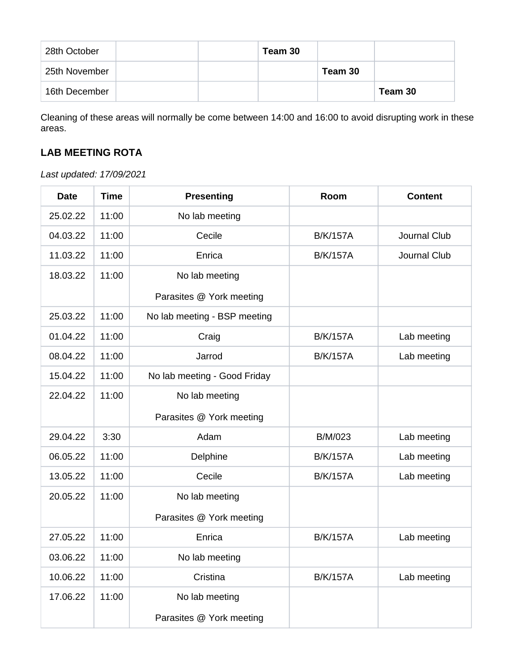| 28th October  |  | Team 30 |         |         |
|---------------|--|---------|---------|---------|
| 25th November |  |         | Team 30 |         |
| 16th December |  |         |         | Team 30 |

Cleaning of these areas will normally be come between 14:00 and 16:00 to avoid disrupting work in these areas.

# <span id="page-3-0"></span>**LAB MEETING ROTA**

Last updated: 17/09/2021

| <b>Date</b> | <b>Time</b> | <b>Presenting</b>            | Room            | <b>Content</b> |
|-------------|-------------|------------------------------|-----------------|----------------|
| 25.02.22    | 11:00       | No lab meeting               |                 |                |
| 04.03.22    | 11:00       | Cecile                       | <b>B/K/157A</b> | Journal Club   |
| 11.03.22    | 11:00       | Enrica                       | <b>B/K/157A</b> | Journal Club   |
| 18.03.22    | 11:00       | No lab meeting               |                 |                |
|             |             | Parasites @ York meeting     |                 |                |
| 25.03.22    | 11:00       | No lab meeting - BSP meeting |                 |                |
| 01.04.22    | 11:00       | Craig                        | <b>B/K/157A</b> | Lab meeting    |
| 08.04.22    | 11:00       | Jarrod                       | <b>B/K/157A</b> | Lab meeting    |
| 15.04.22    | 11:00       | No lab meeting - Good Friday |                 |                |
| 22.04.22    | 11:00       | No lab meeting               |                 |                |
|             |             | Parasites @ York meeting     |                 |                |
| 29.04.22    | 3:30        | Adam                         | <b>B/M/023</b>  | Lab meeting    |
| 06.05.22    | 11:00       | Delphine                     | <b>B/K/157A</b> | Lab meeting    |
| 13.05.22    | 11:00       | Cecile                       | <b>B/K/157A</b> | Lab meeting    |
| 20.05.22    | 11:00       | No lab meeting               |                 |                |
|             |             | Parasites @ York meeting     |                 |                |
| 27.05.22    | 11:00       | Enrica                       | <b>B/K/157A</b> | Lab meeting    |
| 03.06.22    | 11:00       | No lab meeting               |                 |                |
| 10.06.22    | 11:00       | Cristina                     | <b>B/K/157A</b> | Lab meeting    |
| 17.06.22    | 11:00       | No lab meeting               |                 |                |
|             |             | Parasites @ York meeting     |                 |                |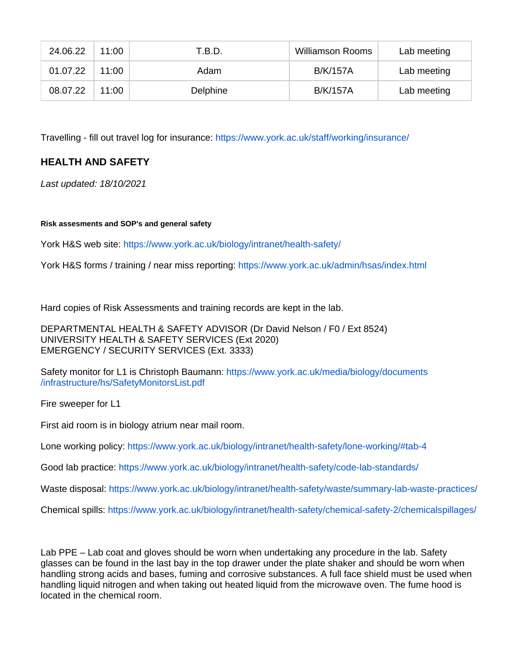| 24.06.22 | 11:00 | T.B.D.   | <b>Williamson Rooms</b> | Lab meeting |
|----------|-------|----------|-------------------------|-------------|
| 01.07.22 | 11:00 | Adam     | B/K/157A                | Lab meeting |
| 08.07.22 | 11:00 | Delphine | <b>B/K/157A</b>         | Lab meeting |

Travelling - fill out travel log for insurance:<https://www.york.ac.uk/staff/working/insurance/>

# <span id="page-4-0"></span>**HEALTH AND SAFETY**

Last updated: 18/10/2021

#### <span id="page-4-1"></span>**Risk assesments and SOP's and general safety**

York H&S web site: <https://www.york.ac.uk/biology/intranet/health-safety/>

York H&S forms / training / near miss reporting:<https://www.york.ac.uk/admin/hsas/index.html>

Hard copies of Risk Assessments and training records are kept in the lab.

DEPARTMENTAL HEALTH & SAFETY ADVISOR (Dr David Nelson / F0 / Ext 8524) UNIVERSITY HEALTH & SAFETY SERVICES (Ext 2020) EMERGENCY / SECURITY SERVICES (Ext. 3333)

Safety monitor for L1 is Christoph Baumann: [https://www.york.ac.uk/media/biology/documents](https://www.york.ac.uk/media/biology/documents/infrastructure/hs/SafetyMonitorsList.pdf) [/infrastructure/hs/SafetyMonitorsList.pdf](https://www.york.ac.uk/media/biology/documents/infrastructure/hs/SafetyMonitorsList.pdf)

Fire sweeper for L1

First aid room is in biology atrium near mail room.

Lone working policy: <https://www.york.ac.uk/biology/intranet/health-safety/lone-working/#tab-4>

Good lab practice:<https://www.york.ac.uk/biology/intranet/health-safety/code-lab-standards/>

Waste disposal: <https://www.york.ac.uk/biology/intranet/health-safety/waste/summary-lab-waste-practices/>

Chemical spills:<https://www.york.ac.uk/biology/intranet/health-safety/chemical-safety-2/chemicalspillages/>

Lab PPE – Lab coat and gloves should be worn when undertaking any procedure in the lab. Safety glasses can be found in the last bay in the top drawer under the plate shaker and should be worn when handling strong acids and bases, fuming and corrosive substances. A full face shield must be used when handling liquid nitrogen and when taking out heated liquid from the microwave oven. The fume hood is located in the chemical room.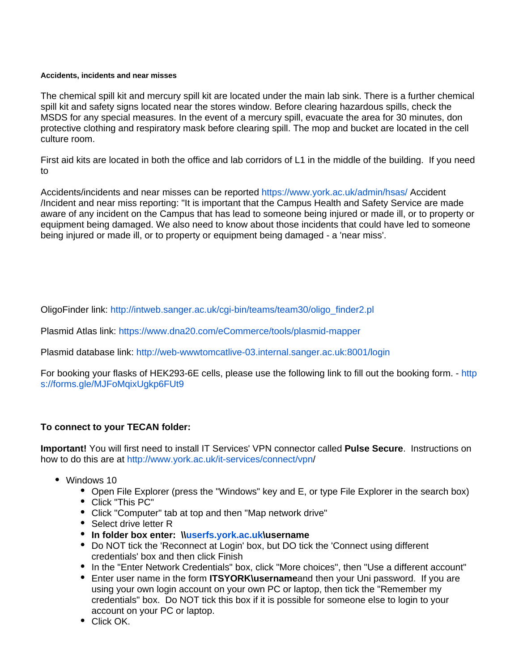#### <span id="page-5-0"></span>**Accidents, incidents and near misses**

The chemical spill kit and mercury spill kit are located under the main lab sink. There is a further chemical spill kit and safety signs located near the stores window. Before clearing hazardous spills, check the MSDS for any special measures. In the event of a mercury spill, evacuate the area for 30 minutes, don protective clothing and respiratory mask before clearing spill. The mop and bucket are located in the cell culture room.

First aid kits are located in both the office and lab corridors of L1 in the middle of the building. If you need to

Accidents/incidents and near misses can be reported <https://www.york.ac.uk/admin/hsas/>Accident /Incident and near miss reporting: "It is important that the Campus Health and Safety Service are made aware of any incident on the Campus that has lead to someone being injured or made ill, or to property or equipment being damaged. We also need to know about those incidents that could have led to someone being injured or made ill, or to property or equipment being damaged - a 'near miss'.

OligoFinder link: [http://intweb.sanger.ac.uk/cgi-bin/teams/team30/oligo\\_finder2.pl](http://intweb.sanger.ac.uk/cgi-bin/teams/team30/oligo_finder2.pl)

Plasmid Atlas link: <https://www.dna20.com/eCommerce/tools/plasmid-mapper>

Plasmid database link: <http://web-wwwtomcatlive-03.internal.sanger.ac.uk:8001/login>

For booking your flasks of HEK293-6E cells, please use the following link to fill out the booking form. - [http](https://forms.gle/MJFoMqixUgkp6FUt9) [s://forms.gle/MJFoMqixUgkp6FUt9](https://forms.gle/MJFoMqixUgkp6FUt9)

# **To connect to your TECAN folder:**

**Important!** You will first need to install IT Services' VPN connector called **Pulse Secure**. Instructions on how to do this are at [http://www.york.ac.uk/it-services/connect/vpn](http://www.york.ac.uk/it-services/connect/vpn/)/

- <span id="page-5-1"></span>• Windows 10
	- Open File Explorer (press the "Windows" key and E, or type File Explorer in the search box)
	- Click "This PC"
	- Click "Computer" tab at top and then "Map network drive"
	- Select drive letter R
	- **In folder box enter: \\[userfs.york.ac.uk](http://userfs.york.ac.uk)\username**
	- Do NOT tick the 'Reconnect at Login' box, but DO tick the 'Connect using different credentials' box and then click Finish
	- In the "Enter Network Credentials" box, click "More choices", then "Use a different account"
	- Enter user name in the form **ITSYORK\username**and then your Uni password. If you are using your own login account on your own PC or laptop, then tick the "Remember my credentials" box. Do NOT tick this box if it is possible for someone else to login to your account on your PC or laptop.
	- Click OK.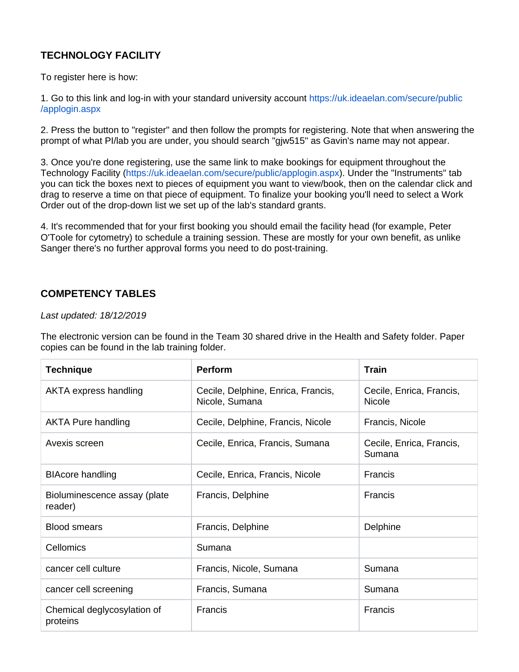# **TECHNOLOGY FACILITY**

To register here is how:

1. Go to this link and log-in with your standard university account [https://uk.ideaelan.com/secure/public](https://uk.ideaelan.com/secure/public/applogin.aspx) [/applogin.aspx](https://uk.ideaelan.com/secure/public/applogin.aspx)

2. Press the button to "register" and then follow the prompts for registering. Note that when answering the prompt of what PI/lab you are under, you should search "gjw515" as Gavin's name may not appear.

3. Once you're done registering, use the same link to make bookings for equipment throughout the Technology Facility (<https://uk.ideaelan.com/secure/public/applogin.aspx>). Under the "Instruments" tab you can tick the boxes next to pieces of equipment you want to view/book, then on the calendar click and drag to reserve a time on that piece of equipment. To finalize your booking you'll need to select a Work Order out of the drop-down list we set up of the lab's standard grants.

4. It's recommended that for your first booking you should email the facility head (for example, Peter O'Toole for cytometry) to schedule a training session. These are mostly for your own benefit, as unlike Sanger there's no further approval forms you need to do post-training.

# <span id="page-6-0"></span>**COMPETENCY TABLES**

# Last updated: 18/12/2019

The electronic version can be found in the Team 30 shared drive in the Health and Safety folder. Paper copies can be found in the lab training folder.

| <b>Technique</b>                        | <b>Perform</b>                                       | <b>Train</b>                       |
|-----------------------------------------|------------------------------------------------------|------------------------------------|
| AKTA express handling                   | Cecile, Delphine, Enrica, Francis,<br>Nicole, Sumana | Cecile, Enrica, Francis,<br>Nicole |
| <b>AKTA Pure handling</b>               | Cecile, Delphine, Francis, Nicole                    | Francis, Nicole                    |
| Avexis screen                           | Cecile, Enrica, Francis, Sumana                      | Cecile, Enrica, Francis,<br>Sumana |
| <b>BIAcore handling</b>                 | Cecile, Enrica, Francis, Nicole                      | Francis                            |
| Bioluminescence assay (plate<br>reader) | Francis, Delphine                                    | Francis                            |
| <b>Blood smears</b>                     | Francis, Delphine                                    | Delphine                           |
| Cellomics                               | Sumana                                               |                                    |
| cancer cell culture                     | Francis, Nicole, Sumana                              | Sumana                             |
| cancer cell screening                   | Francis, Sumana                                      | Sumana                             |
| Chemical deglycosylation of<br>proteins | <b>Francis</b>                                       | Francis                            |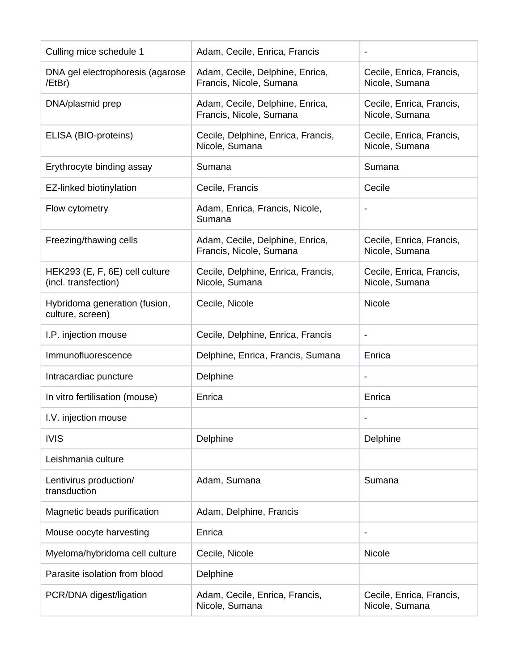| Culling mice schedule 1                                | Adam, Cecile, Enrica, Francis                              |                                            |
|--------------------------------------------------------|------------------------------------------------------------|--------------------------------------------|
| DNA gel electrophoresis (agarose<br>/EtBr)             | Adam, Cecile, Delphine, Enrica,<br>Francis, Nicole, Sumana | Cecile, Enrica, Francis,<br>Nicole, Sumana |
| DNA/plasmid prep                                       | Adam, Cecile, Delphine, Enrica,<br>Francis, Nicole, Sumana | Cecile, Enrica, Francis,<br>Nicole, Sumana |
| ELISA (BIO-proteins)                                   | Cecile, Delphine, Enrica, Francis,<br>Nicole, Sumana       | Cecile, Enrica, Francis,<br>Nicole, Sumana |
| Erythrocyte binding assay                              | Sumana                                                     | Sumana                                     |
| EZ-linked biotinylation                                | Cecile, Francis                                            | Cecile                                     |
| Flow cytometry                                         | Adam, Enrica, Francis, Nicole,<br>Sumana                   |                                            |
| Freezing/thawing cells                                 | Adam, Cecile, Delphine, Enrica,<br>Francis, Nicole, Sumana | Cecile, Enrica, Francis,<br>Nicole, Sumana |
| HEK293 (E, F, 6E) cell culture<br>(incl. transfection) | Cecile, Delphine, Enrica, Francis,<br>Nicole, Sumana       | Cecile, Enrica, Francis,<br>Nicole, Sumana |
| Hybridoma generation (fusion,<br>culture, screen)      | Cecile, Nicole                                             | Nicole                                     |
| I.P. injection mouse                                   | Cecile, Delphine, Enrica, Francis                          | $\overline{\phantom{a}}$                   |
| Immunofluorescence                                     | Delphine, Enrica, Francis, Sumana                          | Enrica                                     |
| Intracardiac puncture                                  | Delphine                                                   | $\overline{\phantom{a}}$                   |
| In vitro fertilisation (mouse)                         | Enrica                                                     | Enrica                                     |
| I.V. injection mouse                                   |                                                            |                                            |
| <b>IVIS</b>                                            | Delphine                                                   | Delphine                                   |
| Leishmania culture                                     |                                                            |                                            |
| Lentivirus production/<br>transduction                 | Adam, Sumana                                               | Sumana                                     |
| Magnetic beads purification                            | Adam, Delphine, Francis                                    |                                            |
| Mouse oocyte harvesting                                | Enrica                                                     | $\overline{\phantom{a}}$                   |
| Myeloma/hybridoma cell culture                         | Cecile, Nicole                                             | Nicole                                     |
| Parasite isolation from blood                          | Delphine                                                   |                                            |
| PCR/DNA digest/ligation                                | Adam, Cecile, Enrica, Francis,<br>Nicole, Sumana           | Cecile, Enrica, Francis,<br>Nicole, Sumana |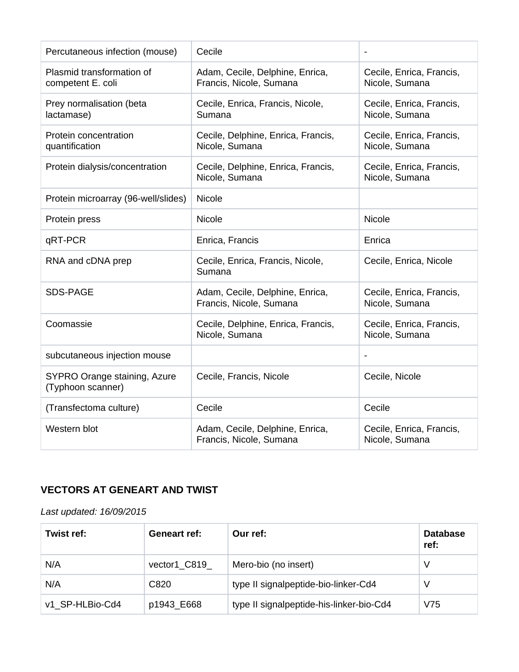| Percutaneous infection (mouse)                    | Cecile                                                     |                                            |
|---------------------------------------------------|------------------------------------------------------------|--------------------------------------------|
| Plasmid transformation of<br>competent E. coli    | Adam, Cecile, Delphine, Enrica,<br>Francis, Nicole, Sumana | Cecile, Enrica, Francis,<br>Nicole, Sumana |
| Prey normalisation (beta<br>lactamase)            | Cecile, Enrica, Francis, Nicole,<br>Sumana                 | Cecile, Enrica, Francis,<br>Nicole, Sumana |
| Protein concentration<br>quantification           | Cecile, Delphine, Enrica, Francis,<br>Nicole, Sumana       | Cecile, Enrica, Francis,<br>Nicole, Sumana |
| Protein dialysis/concentration                    | Cecile, Delphine, Enrica, Francis,<br>Nicole, Sumana       | Cecile, Enrica, Francis,<br>Nicole, Sumana |
| Protein microarray (96-well/slides)               | Nicole                                                     |                                            |
| Protein press                                     | Nicole                                                     | <b>Nicole</b>                              |
| qRT-PCR                                           | Enrica, Francis                                            | Enrica                                     |
| RNA and cDNA prep                                 | Cecile, Enrica, Francis, Nicole,<br>Sumana                 | Cecile, Enrica, Nicole                     |
| <b>SDS-PAGE</b>                                   | Adam, Cecile, Delphine, Enrica,<br>Francis, Nicole, Sumana | Cecile, Enrica, Francis,<br>Nicole, Sumana |
| Coomassie                                         | Cecile, Delphine, Enrica, Francis,<br>Nicole, Sumana       | Cecile, Enrica, Francis,<br>Nicole, Sumana |
| subcutaneous injection mouse                      |                                                            | $\blacksquare$                             |
| SYPRO Orange staining, Azure<br>(Typhoon scanner) | Cecile, Francis, Nicole                                    | Cecile, Nicole                             |
| (Transfectoma culture)                            | Cecile                                                     | Cecile                                     |
| Western blot                                      | Adam, Cecile, Delphine, Enrica,<br>Francis, Nicole, Sumana | Cecile, Enrica, Francis,<br>Nicole, Sumana |

# <span id="page-8-0"></span>**VECTORS AT GENEART AND TWIST**

# Last updated: 16/09/2015

| Twist ref:      | <b>Geneart ref:</b> | Our ref:                                 | <b>Database</b><br>ref: |
|-----------------|---------------------|------------------------------------------|-------------------------|
| N/A             | vector1 C819        | Mero-bio (no insert)                     | V                       |
| N/A             | C820                | type II signalpeptide-bio-linker-Cd4     | V                       |
| v1 SP-HLBio-Cd4 | p1943_E668          | type II signalpeptide-his-linker-bio-Cd4 | V75                     |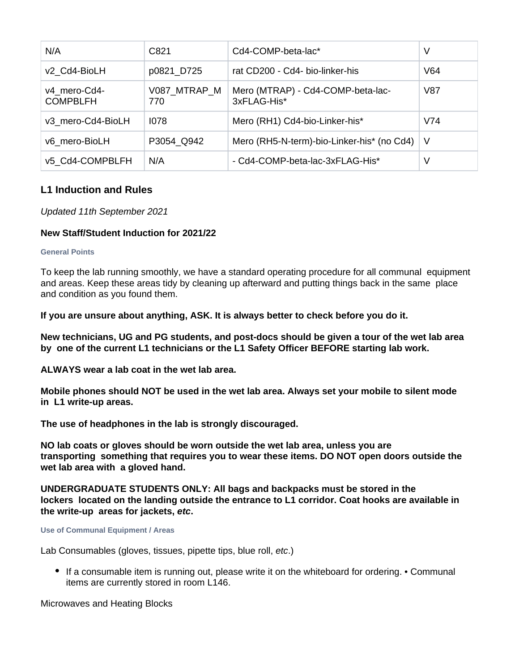| N/A                             | C821                | Cd4-COMP-beta-lac*                               | V   |
|---------------------------------|---------------------|--------------------------------------------------|-----|
| v2 Cd4-BioLH                    | p0821_D725          | rat CD200 - Cd4- bio-linker-his                  | V64 |
| v4 mero-Cd4-<br><b>COMPBLFH</b> | V087 MTRAP M<br>770 | Mero (MTRAP) - Cd4-COMP-beta-lac-<br>3xFLAG-His* | V87 |
| v3 mero-Cd4-BioLH               | 1078                | Mero (RH1) Cd4-bio-Linker-his*                   | V74 |
| v6 mero-BioLH                   | P3054 Q942          | Mero (RH5-N-term)-bio-Linker-his* (no Cd4)       | - V |
| v5 Cd4-COMPBLFH                 | N/A                 | - Cd4-COMP-beta-lac-3xFLAG-His*                  | V   |

# <span id="page-9-0"></span>**L1 Induction and Rules**

# Updated 11th September 2021

# **New Staff/Student Induction for 2021/22**

#### <span id="page-9-1"></span>**General Points**

To keep the lab running smoothly, we have a standard operating procedure for all communal equipment and areas. Keep these areas tidy by cleaning up afterward and putting things back in the same place and condition as you found them.

**If you are unsure about anything, ASK. It is always better to check before you do it.** 

**New technicians, UG and PG students, and post-docs should be given a tour of the wet lab area by one of the current L1 technicians or the L1 Safety Officer BEFORE starting lab work.** 

**ALWAYS wear a lab coat in the wet lab area.** 

**Mobile phones should NOT be used in the wet lab area. Always set your mobile to silent mode in L1 write-up areas.** 

**The use of headphones in the lab is strongly discouraged.** 

**NO lab coats or gloves should be worn outside the wet lab area, unless you are transporting something that requires you to wear these items. DO NOT open doors outside the wet lab area with a gloved hand.** 

**UNDERGRADUATE STUDENTS ONLY: All bags and backpacks must be stored in the lockers located on the landing outside the entrance to L1 corridor. Coat hooks are available in the write-up areas for jackets, etc.** 

#### <span id="page-9-2"></span>**Use of Communal Equipment / Areas**

Lab Consumables (gloves, tissues, pipette tips, blue roll, etc.)

If a consumable item is running out, please write it on the whiteboard for ordering. • Communal items are currently stored in room L146.

Microwaves and Heating Blocks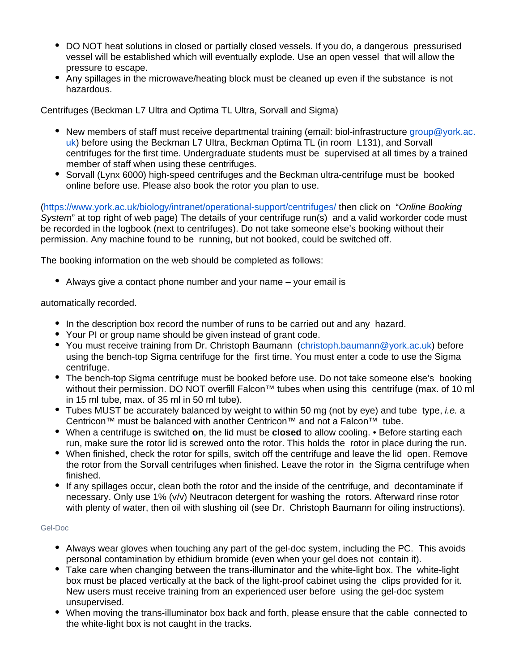- DO NOT heat solutions in closed or partially closed vessels. If you do, a dangerous pressurised vessel will be established which will eventually explode. Use an open vessel that will allow the pressure to escape.
- Any spillages in the microwave/heating block must be cleaned up even if the substance is not hazardous.

Centrifuges (Beckman L7 Ultra and Optima TL Ultra, Sorvall and Sigma)

- New members of staff must receive departmental training (email: biol-infrastructure [group@york.ac.](mailto:group@york.ac.uk) [uk\)](mailto:group@york.ac.uk) before using the Beckman L7 Ultra, Beckman Optima TL (in room L131), and Sorvall centrifuges for the first time. Undergraduate students must be supervised at all times by a trained member of staff when using these centrifuges.
- Sorvall (Lynx 6000) high-speed centrifuges and the Beckman ultra-centrifuge must be booked online before use. Please also book the rotor you plan to use.

(<https://www.york.ac.uk/biology/intranet/operational-support/centrifuges/> then click on "Online Booking System" at top right of web page) The details of your centrifuge run(s) and a valid workorder code must be recorded in the logbook (next to centrifuges). Do not take someone else's booking without their permission. Any machine found to be running, but not booked, could be switched off.

The booking information on the web should be completed as follows:

Always give a contact phone number and your name – your email is

automatically recorded.

- In the description box record the number of runs to be carried out and any hazard.
- Your PI or group name should be given instead of grant code.
- You must receive training from Dr. Christoph Baumann ([christoph.baumann@york.ac.uk](mailto:christoph.baumann@york.ac.uk)) before using the bench-top Sigma centrifuge for the first time. You must enter a code to use the Sigma centrifuge.
- The bench-top Sigma centrifuge must be booked before use. Do not take someone else's booking without their permission. DO NOT overfill Falcon™ tubes when using this centrifuge (max. of 10 ml in 15 ml tube, max. of 35 ml in 50 ml tube).
- Tubes MUST be accurately balanced by weight to within 50 mg (not by eye) and tube type, *i.e.* a Centricon™ must be balanced with another Centricon™ and not a Falcon™ tube.
- When a centrifuge is switched **on**, the lid must be **closed** to allow cooling. Before starting each run, make sure the rotor lid is screwed onto the rotor. This holds the rotor in place during the run.
- When finished, check the rotor for spills, switch off the centrifuge and leave the lid open. Remove the rotor from the Sorvall centrifuges when finished. Leave the rotor in the Sigma centrifuge when finished.
- If any spillages occur, clean both the rotor and the inside of the centrifuge, and decontaminate if necessary. Only use 1% (v/v) Neutracon detergent for washing the rotors. Afterward rinse rotor with plenty of water, then oil with slushing oil (see Dr. Christoph Baumann for oiling instructions).

#### <span id="page-10-0"></span>Gel-Doc

- Always wear gloves when touching any part of the gel-doc system, including the PC. This avoids personal contamination by ethidium bromide (even when your gel does not contain it).
- Take care when changing between the trans-illuminator and the white-light box. The white-light box must be placed vertically at the back of the light-proof cabinet using the clips provided for it. New users must receive training from an experienced user before using the gel-doc system unsupervised.
- When moving the trans-illuminator box back and forth, please ensure that the cable connected to the white-light box is not caught in the tracks.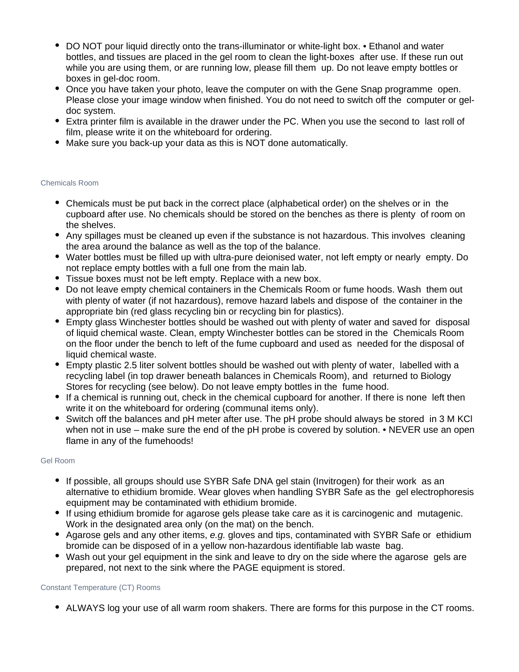- DO NOT pour liquid directly onto the trans-illuminator or white-light box. Ethanol and water bottles, and tissues are placed in the gel room to clean the light-boxes after use. If these run out while you are using them, or are running low, please fill them up. Do not leave empty bottles or boxes in gel-doc room.
- Once you have taken your photo, leave the computer on with the Gene Snap programme open. Please close your image window when finished. You do not need to switch off the computer or geldoc system.
- Extra printer film is available in the drawer under the PC. When you use the second to last roll of film, please write it on the whiteboard for ordering.
- Make sure you back-up your data as this is NOT done automatically.

#### <span id="page-11-0"></span>Chemicals Room

- Chemicals must be put back in the correct place (alphabetical order) on the shelves or in the cupboard after use. No chemicals should be stored on the benches as there is plenty of room on the shelves.
- Any spillages must be cleaned up even if the substance is not hazardous. This involves cleaning the area around the balance as well as the top of the balance.
- Water bottles must be filled up with ultra-pure deionised water, not left empty or nearly empty. Do not replace empty bottles with a full one from the main lab.
- Tissue boxes must not be left empty. Replace with a new box.
- Do not leave empty chemical containers in the Chemicals Room or fume hoods. Wash them out with plenty of water (if not hazardous), remove hazard labels and dispose of the container in the appropriate bin (red glass recycling bin or recycling bin for plastics).
- Empty glass Winchester bottles should be washed out with plenty of water and saved for disposal of liquid chemical waste. Clean, empty Winchester bottles can be stored in the Chemicals Room on the floor under the bench to left of the fume cupboard and used as needed for the disposal of liquid chemical waste.
- Empty plastic 2.5 liter solvent bottles should be washed out with plenty of water, labelled with a recycling label (in top drawer beneath balances in Chemicals Room), and returned to Biology Stores for recycling (see below). Do not leave empty bottles in the fume hood.
- If a chemical is running out, check in the chemical cupboard for another. If there is none left then write it on the whiteboard for ordering (communal items only).
- Switch off the balances and pH meter after use. The pH probe should always be stored in 3 M KCl when not in use – make sure the end of the pH probe is covered by solution. • NEVER use an open flame in any of the fumehoods!

#### <span id="page-11-1"></span>Gel Room

- If possible, all groups should use SYBR Safe DNA gel stain (Invitrogen) for their work as an alternative to ethidium bromide. Wear gloves when handling SYBR Safe as the gel electrophoresis equipment may be contaminated with ethidium bromide.
- If using ethidium bromide for agarose gels please take care as it is carcinogenic and mutagenic. Work in the designated area only (on the mat) on the bench.
- Agarose gels and any other items, e.g. gloves and tips, contaminated with SYBR Safe or ethidium bromide can be disposed of in a yellow non-hazardous identifiable lab waste bag.
- Wash out your gel equipment in the sink and leave to dry on the side where the agarose gels are prepared, not next to the sink where the PAGE equipment is stored.

#### <span id="page-11-2"></span>Constant Temperature (CT) Rooms

• ALWAYS log your use of all warm room shakers. There are forms for this purpose in the CT rooms.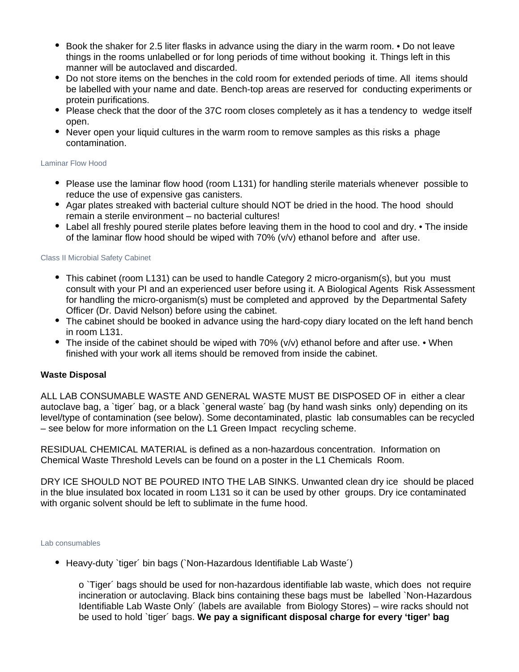- Book the shaker for 2.5 liter flasks in advance using the diary in the warm room. Do not leave things in the rooms unlabelled or for long periods of time without booking it. Things left in this manner will be autoclaved and discarded.
- Do not store items on the benches in the cold room for extended periods of time. All items should be labelled with your name and date. Bench-top areas are reserved for conducting experiments or protein purifications.
- Please check that the door of the 37C room closes completely as it has a tendency to wedge itself open.
- Never open your liquid cultures in the warm room to remove samples as this risks a phage contamination.

#### <span id="page-12-0"></span>Laminar Flow Hood

- Please use the laminar flow hood (room L131) for handling sterile materials whenever possible to reduce the use of expensive gas canisters.
- Agar plates streaked with bacterial culture should NOT be dried in the hood. The hood should remain a sterile environment – no bacterial cultures!
- Label all freshly poured sterile plates before leaving them in the hood to cool and dry. The inside of the laminar flow hood should be wiped with 70% (v/v) ethanol before and after use.

#### <span id="page-12-1"></span>Class II Microbial Safety Cabinet

- This cabinet (room L131) can be used to handle Category 2 micro-organism(s), but you must consult with your PI and an experienced user before using it. A Biological Agents Risk Assessment for handling the micro-organism(s) must be completed and approved by the Departmental Safety Officer (Dr. David Nelson) before using the cabinet.
- The cabinet should be booked in advance using the hard-copy diary located on the left hand bench in room L131.
- The inside of the cabinet should be wiped with  $70\%$  ( $v/v$ ) ethanol before and after use. When finished with your work all items should be removed from inside the cabinet.

#### <span id="page-12-2"></span>**Waste Disposal**

ALL LAB CONSUMABLE WASTE AND GENERAL WASTE MUST BE DISPOSED OF in either a clear autoclave bag, a `tiger´ bag, or a black `general waste´ bag (by hand wash sinks only) depending on its level/type of contamination (see below). Some decontaminated, plastic lab consumables can be recycled – see below for more information on the L1 Green Impact recycling scheme.

RESIDUAL CHEMICAL MATERIAL is defined as a non-hazardous concentration. Information on Chemical Waste Threshold Levels can be found on a poster in the L1 Chemicals Room.

DRY ICE SHOULD NOT BE POURED INTO THE LAB SINKS. Unwanted clean dry ice should be placed in the blue insulated box located in room L131 so it can be used by other groups. Dry ice contaminated with organic solvent should be left to sublimate in the fume hood.

#### <span id="page-12-3"></span>Lab consumables

Heavy-duty `tiger´ bin bags (`Non-Hazardous Identifiable Lab Waste´)

o `Tiger´ bags should be used for non-hazardous identifiable lab waste, which does not require incineration or autoclaving. Black bins containing these bags must be labelled `Non-Hazardous Identifiable Lab Waste Only´ (labels are available from Biology Stores) – wire racks should not be used to hold `tiger´ bags. **We pay a significant disposal charge for every 'tiger' bag**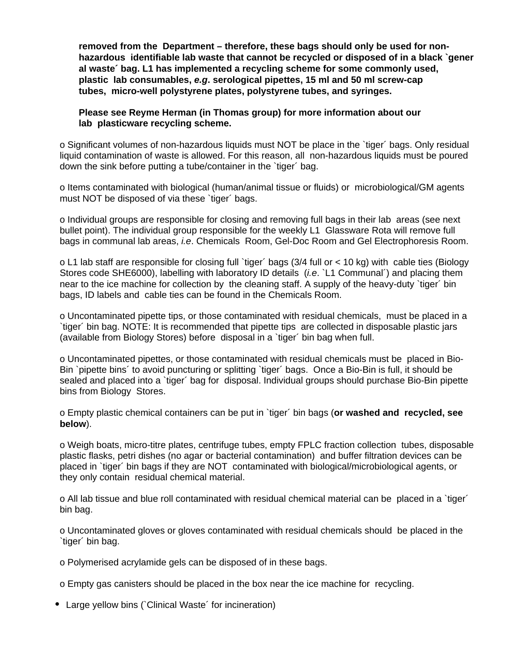**removed from the Department – therefore, these bags should only be used for nonhazardous identifiable lab waste that cannot be recycled or disposed of in a black `gener al waste´ bag. L1 has implemented a recycling scheme for some commonly used, plastic lab consumables, e.g. serological pipettes, 15 ml and 50 ml screw-cap tubes, micro-well polystyrene plates, polystyrene tubes, and syringes.**

### **Please see Reyme Herman (in Thomas group) for more information about our lab plasticware recycling scheme.**

o Significant volumes of non-hazardous liquids must NOT be place in the `tiger´ bags. Only residual liquid contamination of waste is allowed. For this reason, all non-hazardous liquids must be poured down the sink before putting a tube/container in the `tiger' bag.

o Items contaminated with biological (human/animal tissue or fluids) or microbiological/GM agents must NOT be disposed of via these 'tiger' bags.

o Individual groups are responsible for closing and removing full bags in their lab areas (see next bullet point). The individual group responsible for the weekly L1 Glassware Rota will remove full bags in communal lab areas, i.e. Chemicals Room, Gel-Doc Room and Gel Electrophoresis Room.

o L1 lab staff are responsible for closing full `tiger´ bags (3/4 full or < 10 kg) with cable ties (Biology Stores code SHE6000), labelling with laboratory ID details (*i.e.* `L1 Communal') and placing them near to the ice machine for collection by the cleaning staff. A supply of the heavy-duty `tiger´ bin bags, ID labels and cable ties can be found in the Chemicals Room.

o Uncontaminated pipette tips, or those contaminated with residual chemicals, must be placed in a `tiger´ bin bag. NOTE: It is recommended that pipette tips are collected in disposable plastic jars (available from Biology Stores) before disposal in a `tiger´ bin bag when full.

o Uncontaminated pipettes, or those contaminated with residual chemicals must be placed in Bio-Bin `pipette bins´ to avoid puncturing or splitting `tiger´ bags. Once a Bio-Bin is full, it should be sealed and placed into a `tiger´ bag for disposal. Individual groups should purchase Bio-Bin pipette bins from Biology Stores.

o Empty plastic chemical containers can be put in `tiger´ bin bags (**or washed and recycled, see below**).

o Weigh boats, micro-titre plates, centrifuge tubes, empty FPLC fraction collection tubes, disposable plastic flasks, petri dishes (no agar or bacterial contamination) and buffer filtration devices can be placed in `tiger´ bin bags if they are NOT contaminated with biological/microbiological agents, or they only contain residual chemical material.

o All lab tissue and blue roll contaminated with residual chemical material can be placed in a `tiger´ bin bag.

o Uncontaminated gloves or gloves contaminated with residual chemicals should be placed in the `tiger´ bin bag.

o Polymerised acrylamide gels can be disposed of in these bags.

o Empty gas canisters should be placed in the box near the ice machine for recycling.

• Large yellow bins (`Clinical Waste´ for incineration)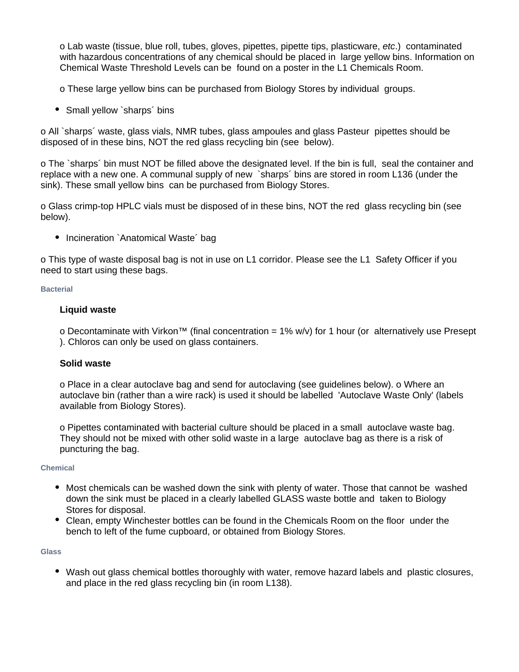o Lab waste (tissue, blue roll, tubes, gloves, pipettes, pipette tips, plasticware, etc.) contaminated with hazardous concentrations of any chemical should be placed in large yellow bins. Information on Chemical Waste Threshold Levels can be found on a poster in the L1 Chemicals Room.

o These large yellow bins can be purchased from Biology Stores by individual groups.

• Small yellow `sharps´ bins

o All `sharps´ waste, glass vials, NMR tubes, glass ampoules and glass Pasteur pipettes should be disposed of in these bins, NOT the red glass recycling bin (see below).

o The `sharps´ bin must NOT be filled above the designated level. If the bin is full, seal the container and replace with a new one. A communal supply of new `sharps´ bins are stored in room L136 (under the sink). These small yellow bins can be purchased from Biology Stores.

o Glass crimp-top HPLC vials must be disposed of in these bins, NOT the red glass recycling bin (see below).

• Incineration `Anatomical Waste' bag

o This type of waste disposal bag is not in use on L1 corridor. Please see the L1 Safety Officer if you need to start using these bags.

#### <span id="page-14-0"></span>**Bacterial**

# **Liquid waste**

o Decontaminate with Virkon™ (final concentration =  $1\%$  w/v) for 1 hour (or alternatively use Presept ). Chloros can only be used on glass containers.

# **Solid waste**

o Place in a clear autoclave bag and send for autoclaving (see guidelines below). o Where an autoclave bin (rather than a wire rack) is used it should be labelled 'Autoclave Waste Only' (labels available from Biology Stores).

o Pipettes contaminated with bacterial culture should be placed in a small autoclave waste bag. They should not be mixed with other solid waste in a large autoclave bag as there is a risk of puncturing the bag.

#### <span id="page-14-1"></span>**Chemical**

- Most chemicals can be washed down the sink with plenty of water. Those that cannot be washed down the sink must be placed in a clearly labelled GLASS waste bottle and taken to Biology Stores for disposal.
- Clean, empty Winchester bottles can be found in the Chemicals Room on the floor under the bench to left of the fume cupboard, or obtained from Biology Stores.

#### <span id="page-14-2"></span>**Glass**

Wash out glass chemical bottles thoroughly with water, remove hazard labels and plastic closures, and place in the red glass recycling bin (in room L138).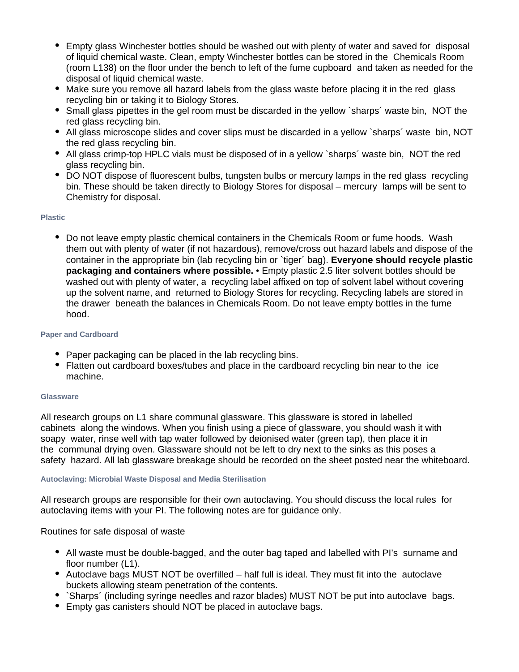- $\bullet$ Empty glass Winchester bottles should be washed out with plenty of water and saved for disposal of liquid chemical waste. Clean, empty Winchester bottles can be stored in the Chemicals Room (room L138) on the floor under the bench to left of the fume cupboard and taken as needed for the disposal of liquid chemical waste.
- Make sure you remove all hazard labels from the glass waste before placing it in the red glass recycling bin or taking it to Biology Stores.
- Small glass pipettes in the gel room must be discarded in the yellow `sharps´ waste bin, NOT the red glass recycling bin.
- All glass microscope slides and cover slips must be discarded in a yellow `sharps´ waste bin, NOT the red glass recycling bin.
- All glass crimp-top HPLC vials must be disposed of in a yellow `sharps´ waste bin, NOT the red glass recycling bin.
- DO NOT dispose of fluorescent bulbs, tungsten bulbs or mercury lamps in the red glass recycling bin. These should be taken directly to Biology Stores for disposal – mercury lamps will be sent to Chemistry for disposal.

#### <span id="page-15-0"></span>**Plastic**

Do not leave empty plastic chemical containers in the Chemicals Room or fume hoods. Wash them out with plenty of water (if not hazardous), remove/cross out hazard labels and dispose of the container in the appropriate bin (lab recycling bin or `tiger´ bag). **Everyone should recycle plastic packaging and containers where possible.** • Empty plastic 2.5 liter solvent bottles should be washed out with plenty of water, a recycling label affixed on top of solvent label without covering up the solvent name, and returned to Biology Stores for recycling. Recycling labels are stored in the drawer beneath the balances in Chemicals Room. Do not leave empty bottles in the fume hood.

#### <span id="page-15-1"></span>**Paper and Cardboard**

- Paper packaging can be placed in the lab recycling bins.
- Flatten out cardboard boxes/tubes and place in the cardboard recycling bin near to the ice machine.

#### <span id="page-15-2"></span>**Glassware**

All research groups on L1 share communal glassware. This glassware is stored in labelled cabinets along the windows. When you finish using a piece of glassware, you should wash it with soapy water, rinse well with tap water followed by deionised water (green tap), then place it in the communal drying oven. Glassware should not be left to dry next to the sinks as this poses a safety hazard. All lab glassware breakage should be recorded on the sheet posted near the whiteboard.

#### <span id="page-15-3"></span>**Autoclaving: Microbial Waste Disposal and Media Sterilisation**

All research groups are responsible for their own autoclaving. You should discuss the local rules for autoclaving items with your PI. The following notes are for guidance only.

Routines for safe disposal of waste

- All waste must be double-bagged, and the outer bag taped and labelled with PI's surname and floor number (L1).
- Autoclave bags MUST NOT be overfilled half full is ideal. They must fit into the autoclave buckets allowing steam penetration of the contents.
- `Sharps' (including syringe needles and razor blades) MUST NOT be put into autoclave bags.
- Empty gas canisters should NOT be placed in autoclave bags.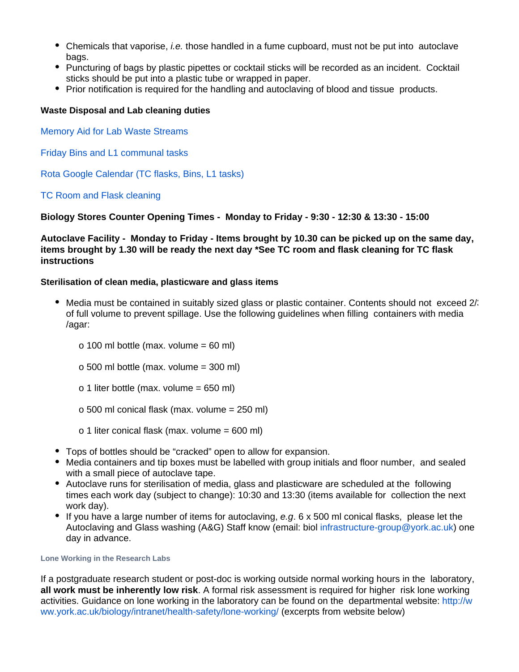- Chemicals that vaporise, *i.e.* those handled in a fume cupboard, must not be put into autoclave bags.
- Puncturing of bags by plastic pipettes or cocktail sticks will be recorded as an incident. Cocktail sticks should be put into a plastic tube or wrapped in paper.
- Prior notification is required for the handling and autoclaving of blood and tissue products.

### <span id="page-16-0"></span>**Waste Disposal and Lab cleaning duties**

[Memory Aid for Lab Waste Streams](https://docs.google.com/document/d/12A1F5PCYDdD7FY3tPnhY5iJ8mJ4L2M_B/edit?usp=sharing&ouid=116435750630796596851&rtpof=true&sd=true)

[Friday Bins and L1 communal tasks](https://docs.google.com/document/d/1XkrQO-npDTNeHRrkKL5RYKlCigEoSX8o/edit?usp=sharing&ouid=116435750630796596851&rtpof=true&sd=true)

[Rota Google Calendar \(TC flasks, Bins, L1 tasks\)](https://calendar.google.com/calendar/u/0?cid=Y19kMnZqNDJrMTJyM2xrZjloZTBpdDY4azljY0Bncm91cC5jYWxlbmRhci5nb29nbGUuY29t)

### [TC Room and Flask cleaning](https://docs.google.com/document/d/1M2Lf7rmY4F9Czlp1tZLU3viWWZeE9cnS3D5x-TBw8KQ/edit?usp=sharing)

### **Biology Stores Counter Opening Times - Monday to Friday - 9:30 - 12:30 & 13:30 - 15:00**

**Autoclave Facility - Monday to Friday - Items brought by 10.30 can be picked up on the same day, items brought by 1.30 will be ready the next day \*See TC room and flask cleaning for TC flask instructions** 

### <span id="page-16-1"></span>**Sterilisation of clean media, plasticware and glass items**

- Media must be contained in suitably sized glass or plastic container. Contents should not exceed 2/3 of full volume to prevent spillage. Use the following guidelines when filling containers with media /agar:
	- o 100 ml bottle (max. volume =  $60$  ml)
	- o 500 ml bottle (max. volume = 300 ml)
	- o 1 liter bottle (max. volume = 650 ml)
	- o 500 ml conical flask (max. volume = 250 ml)
	- o 1 liter conical flask (max. volume = 600 ml)
- Tops of bottles should be "cracked" open to allow for expansion.
- Media containers and tip boxes must be labelled with group initials and floor number, and sealed with a small piece of autoclave tape.
- Autoclave runs for sterilisation of media, glass and plasticware are scheduled at the following times each work day (subject to change): 10:30 and 13:30 (items available for collection the next work day).
- If you have a large number of items for autoclaving,  $e.g. 6 \times 500$  ml conical flasks, please let the Autoclaving and Glass washing (A&G) Staff know (email: biol [infrastructure-group@york.ac.uk](mailto:infrastructure-group@york.ac.uk)) one day in advance.

#### <span id="page-16-2"></span>**Lone Working in the Research Labs**

If a postgraduate research student or post-doc is working outside normal working hours in the laboratory, **all work must be inherently low risk**. A formal risk assessment is required for higher risk lone working activities. Guidance on lone working in the laboratory can be found on the departmental website: [http://w](http://www.york.ac.uk/biology/intranet/health-safety/lone-working/) [ww.york.ac.uk/biology/intranet/health-safety/lone-working/](http://www.york.ac.uk/biology/intranet/health-safety/lone-working/) (excerpts from website below)